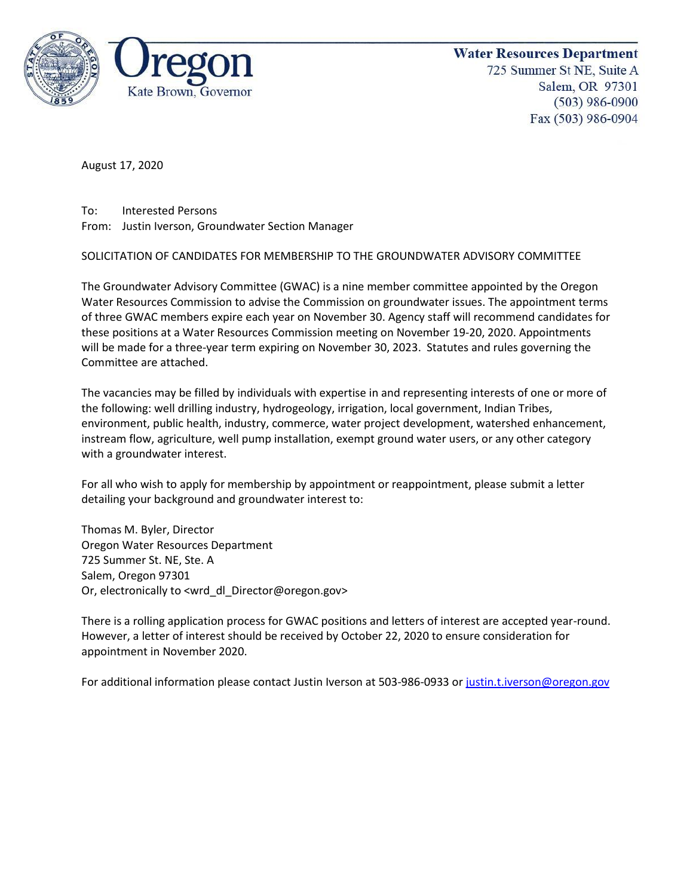

**Water Resources Department** 725 Summer St NE, Suite A Salem, OR 97301  $(503)$  986-0900 Fax (503) 986-0904

August 17, 2020

To: Interested Persons From: Justin Iverson, Groundwater Section Manager

SOLICITATION OF CANDIDATES FOR MEMBERSHIP TO THE GROUNDWATER ADVISORY COMMITTEE

The Groundwater Advisory Committee (GWAC) is a nine member committee appointed by the Oregon Water Resources Commission to advise the Commission on groundwater issues. The appointment terms of three GWAC members expire each year on November 30. Agency staff will recommend candidates for these positions at a Water Resources Commission meeting on November 19-20, 2020. Appointments will be made for a three-year term expiring on November 30, 2023. Statutes and rules governing the Committee are attached.

The vacancies may be filled by individuals with expertise in and representing interests of one or more of the following: well drilling industry, hydrogeology, irrigation, local government, Indian Tribes, environment, public health, industry, commerce, water project development, watershed enhancement, instream flow, agriculture, well pump installation, exempt ground water users, or any other category with a groundwater interest.

For all who wish to apply for membership by appointment or reappointment, please submit a letter detailing your background and groundwater interest to:

Thomas M. Byler, Director Oregon Water Resources Department 725 Summer St. NE, Ste. A Salem, Oregon 97301 Or, electronically to <wrd\_dl\_Director@oregon.gov>

There is a rolling application process for GWAC positions and letters of interest are accepted year-round. However, a letter of interest should be received by October 22, 2020 to ensure consideration for appointment in November 2020.

For additional information please contact Justin Iverson at 503-986-0933 o[r justin.t.iverson@oregon.gov](mailto:justin.t.iverson@oregon.gov)